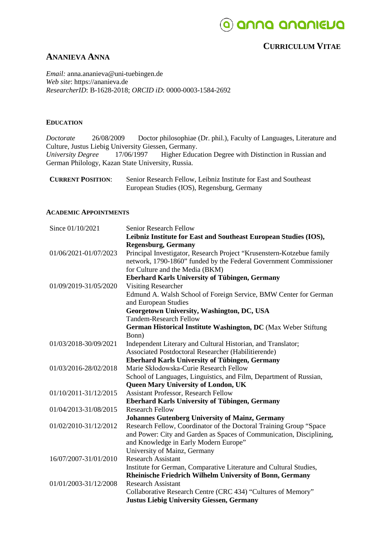## o auua auaulena

### **CURRICULUM VITAE**

### **ANANIEVA ANNA**

*Email:* anna.ananieva@uni-tuebingen.de *Web site*: https://ananieva.de *ResearcherID*: B-1628-2018; *ORCID iD*: 0000-0003-1584-2692

#### **EDUCATION**

*Doctorate* 26/08/2009 Doctor philosophiae (Dr. phil.), Faculty of Languages, Literature and Culture, Justus Liebig University Giessen, Germany.<br>
University Degree 17/06/1997 Higher Educa Higher Education Degree with Distinction in Russian and German Philology, Kazan State University, Russia.

| <b>CURRENT POSITION:</b> | Senior Research Fellow, Leibniz Institute for East and Southeast |
|--------------------------|------------------------------------------------------------------|
|                          | European Studies (IOS), Regensburg, Germany                      |

#### **ACADEMIC APPOINTMENTS**

| Since 01/10/2021      | <b>Senior Research Fellow</b>                                         |
|-----------------------|-----------------------------------------------------------------------|
|                       | Leibniz Institute for East and Southeast European Studies (IOS),      |
|                       | <b>Regensburg, Germany</b>                                            |
| 01/06/2021-01/07/2023 | Principal Investigator, Research Project "Krusenstern-Kotzebue family |
|                       | network, 1790-1860" funded by the Federal Government Commissioner     |
|                       | for Culture and the Media (BKM)                                       |
|                       | <b>Eberhard Karls University of Tübingen, Germany</b>                 |
| 01/09/2019-31/05/2020 | <b>Visiting Researcher</b>                                            |
|                       | Edmund A. Walsh School of Foreign Service, BMW Center for German      |
|                       | and European Studies                                                  |
|                       | Georgetown University, Washington, DC, USA                            |
|                       | <b>Tandem-Research Fellow</b>                                         |
|                       | German Historical Institute Washington, DC (Max Weber Stiftung        |
|                       | Bonn)                                                                 |
| 01/03/2018-30/09/2021 | Independent Literary and Cultural Historian, and Translator;          |
|                       | Associated Postdoctoral Researcher (Habilitierende)                   |
|                       | <b>Eberhard Karls University of Tübingen, Germany</b>                 |
| 01/03/2016-28/02/2018 | Marie Skłodowska-Curie Research Fellow                                |
|                       | School of Languages, Linguistics, and Film, Department of Russian,    |
|                       | <b>Queen Mary University of London, UK</b>                            |
| 01/10/2011-31/12/2015 | <b>Assistant Professor, Research Fellow</b>                           |
|                       | <b>Eberhard Karls University of Tübingen, Germany</b>                 |
| 01/04/2013-31/08/2015 | <b>Research Fellow</b>                                                |
|                       | <b>Johannes Gutenberg University of Mainz, Germany</b>                |
| 01/02/2010-31/12/2012 | Research Fellow, Coordinator of the Doctoral Training Group "Space    |
|                       | and Power: City and Garden as Spaces of Communication, Disciplining,  |
|                       | and Knowledge in Early Modern Europe"                                 |
|                       | University of Mainz, Germany                                          |
| 16/07/2007-31/01/2010 | <b>Research Assistant</b>                                             |
|                       | Institute for German, Comparative Literature and Cultural Studies,    |
|                       | Rheinische Friedrich Wilhelm University of Bonn, Germany              |
| 01/01/2003-31/12/2008 | <b>Research Assistant</b>                                             |
|                       | Collaborative Research Centre (CRC 434) "Cultures of Memory"          |
|                       | <b>Justus Liebig University Giessen, Germany</b>                      |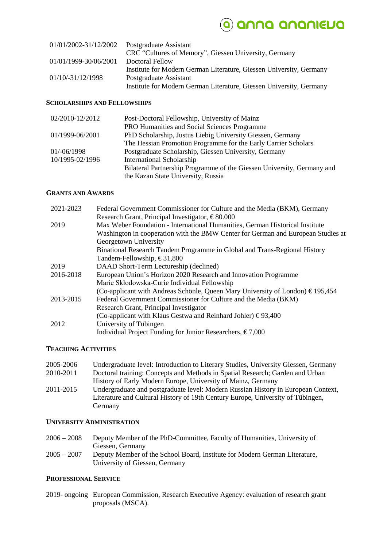## O anna ananieua

| 01/01/2002-31/12/2002 | Postgraduate Assistant                                              |
|-----------------------|---------------------------------------------------------------------|
|                       | CRC "Cultures of Memory", Giessen University, Germany               |
| 01/01/1999-30/06/2001 | Doctoral Fellow                                                     |
|                       | Institute for Modern German Literature, Giessen University, Germany |
| $01/10/-31/12/1998$   | Postgraduate Assistant                                              |
|                       | Institute for Modern German Literature, Giessen University, Germany |

#### **SCHOLARSHIPS AND FELLOWSHIPS**

| 02/2010-12/2012 | Post-Doctoral Fellowship, University of Mainz                          |
|-----------------|------------------------------------------------------------------------|
|                 | PRO Humanities and Social Sciences Programme                           |
| 01/1999-06/2001 | PhD Scholarship, Justus Liebig University Giessen, Germany             |
|                 | The Hessian Promotion Programme for the Early Carrier Scholars         |
| 01/-06/1998     | Postgraduate Scholarship, Giessen University, Germany                  |
| 10/1995-02/1996 | International Scholarship                                              |
|                 | Bilateral Partnership Programme of the Giessen University, Germany and |
|                 | the Kazan State University, Russia                                     |

#### **GRANTS AND AWARDS**

| 2021-2023 | Federal Government Commissioner for Culture and the Media (BKM), Germany                |
|-----------|-----------------------------------------------------------------------------------------|
|           | Research Grant, Principal Investigator, $\epsilon$ 80.000                               |
| 2019      | Max Weber Foundation - International Humanities, German Historical Institute            |
|           | Washington in cooperation with the BMW Center for German and European Studies at        |
|           | Georgetown University                                                                   |
|           | Binational Research Tandem Programme in Global and Trans-Regional History               |
|           | Tandem-Fellowship, $\text{\textsterling}31,800$                                         |
| 2019      | DAAD Short-Term Lectureship (declined)                                                  |
| 2016-2018 | European Union's Horizon 2020 Research and Innovation Programme                         |
|           | Marie Skłodowska-Curie Individual Fellowship                                            |
|           | (Co-applicant with Andreas Schönle, Queen Mary University of London) $\epsilon$ 195,454 |
| 2013-2015 | Federal Government Commissioner for Culture and the Media (BKM)                         |
|           | Research Grant, Principal Investigator                                                  |
|           | (Co-applicant with Klaus Gestwa and Reinhard Johler) $\epsilon$ 93,400                  |
| 2012      | University of Tübingen                                                                  |
|           | Individual Project Funding for Junior Researchers, $\epsilon$ 7,000                     |

#### **TEACHING ACTIVITIES**

| Undergraduate level: Introduction to Literary Studies, University Giessen, Germany |
|------------------------------------------------------------------------------------|
| Doctoral training: Concepts and Methods in Spatial Research; Garden and Urban      |
| History of Early Modern Europe, University of Mainz, Germany                       |
| Undergraduate and postgraduate level: Modern Russian History in European Context,  |
| Literature and Cultural History of 19th Century Europe, University of Tübingen,    |
| Germany                                                                            |
|                                                                                    |

#### **UNIVERSITY ADMINISTRATION**

- 2006 2008 Deputy Member of the PhD-Committee, Faculty of Humanities, University of Giessen, Germany
- 2005 2007 Deputy Member of the School Board, Institute for Modern German Literature, University of Giessen, Germany

#### **PROFESSIONAL SERVICE**

2019- ongoing European Commission, Research Executive Agency: evaluation of research grant proposals (MSCA).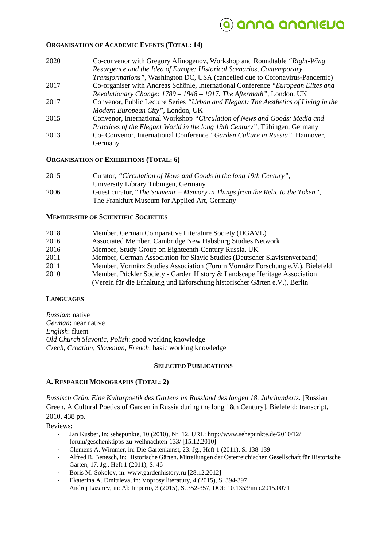### anna ananieua

#### **ORGANISATION OF ACADEMIC EVENTS (TOTAL: 14)**

- 2020 Co-convenor with Gregory Afinogenov, Workshop and Roundtable *"Right-Wing Resurgence and the Idea of Europe: Historical Scenarios, Contemporary Transformations",* Washington DC, USA (cancelled due to Coronavirus-Pandemic) 2017 Co-organiser with Andreas Schönle, International Conference *"European Elites and Revolutionary Change: 1789 – 1848 – 1917. The Aftermath"*, London, UK 2017 Convenor, Public Lecture Series *"Urban and Elegant: The Aesthetics of Living in the*
- *Modern European City"*, London, UK
- 2015 Convenor, International Workshop *"Circulation of News and Goods: Media and Practices of the Elegant World in the long 19th Century"*, Tübingen, Germany 2013 Co- Convenor, International Conference *"Garden Culture in Russia",* Hannover,
	- Germany

#### **ORGANISATION OF EXHIBITIONS (TOTAL: 6)**

2015 Curator, *"Circulation of News and Goods in the long 19th Century"*, University Library Tübingen, Germany 2006 Guest curator, "*The Souvenir – Memory in Things from the Relic to the Token",* The Frankfurt Museum for Applied Art, Germany

#### **MEMBERSHIP OF SCIENTIFIC SOCIETIES**

| 2018 | Member, German Comparative Literature Society (DGAVL)                         |
|------|-------------------------------------------------------------------------------|
| 2016 | Associated Member, Cambridge New Habsburg Studies Network                     |
| 2016 | Member, Study Group on Eighteenth-Century Russia, UK                          |
| 2011 | Member, German Association for Slavic Studies (Deutscher Slavistenverband)    |
| 2011 | Member, Vormärz Studies Association (Forum Vormärz Forschung e.V.), Bielefeld |
| 2010 | Member, Pückler Society - Garden History & Landscape Heritage Association     |
|      | (Verein für die Erhaltung und Erforschung historischer Gärten e.V.), Berlin   |

#### **LANGUAGES**

*Russian*: native *German*: near native *English*: fluent *Old Church Slavonic, Polish*: good working knowledge *Czech, Croatian, Slovenian, French*: basic working knowledge

#### **SELECTED PUBLICATIONS**

#### **A. RESEARCH MONOGRAPHS (TOTAL: 2)**

*Russisch Grün. Eine Kulturpoetik des Gartens im Russland des langen 18. Jahrhunderts.* [Russian Green. A Cultural Poetics of Garden in Russia during the long 18th Century]. Bielefeld: transcript, 2010. 438 pp.

Reviews:

- Jan Kusber, in: sehepunkte, 10 (2010), Nr. 12, URL: http://www.sehepunkte.de/2010/12/ forum/geschenktipps-zu-weihnachten-133/ [15.12.2010]
- Clemens A. Wimmer, in: Die Gartenkunst, 23. Jg., Heft 1 (2011), S. 138-139
- Alfred R. Benesch, in: Historische Gärten. Mitteilungen der Österreichischen Gesellschaft für Historische Gärten, 17. Jg., Heft 1 (2011), S. 46
- Boris M. Sokolov, in: www.gardenhistory.ru [28.12.2012]
- Ekaterina A. Dmitrieva, in: Voprosy literatury, 4 (2015), S. 394-397
- Andrej Lazarev, in: Ab Imperio, 3 (2015), S. 352-357, DOI: 10.1353/imp.2015.0071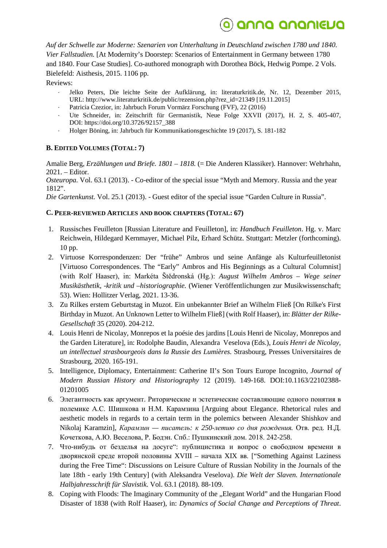## Q anna ananieua

*Auf der Schwelle zur Moderne: Szenarien von Unterhaltung in Deutschland zwischen 1780 und 1840. Vier Fallstudien.* [At Modernity's Doorstep: Scenarios of Entertainment in Germany between 1780 and 1840. Four Case Studies]. Co-authored monograph with Dorothea Böck, Hedwig Pompe. 2 Vols. Bielefeld: Aisthesis, 2015. 1106 pp.

Reviews:

- Jelko Peters, Die leichte Seite der Aufklärung, in: literaturkritik.de, Nr. 12, Dezember 2015, URL: http://www.literaturkritik.de/public/rezension.php?rez\_id=21349 [19.11.2015]
- Patricia Czezior, in: Jahrbuch Forum Vormärz Forschung (FVF), 22 (2016)
- Ute Schneider, in: Zeitschrift für Germanistik, Neue Folge XXVII (2017), H. 2, S. 405-407, DOI: https://doi.org/10.3726/92157\_388
- Holger Böning, in: Jahrbuch für Kommunikationsgeschichte 19 (2017), S. 181-182

### **B. EDITED VOLUMES (TOTAL: 7)**

Amalie Berg, *Erzählungen und Briefe. 1801 – 1818.* (= Die Anderen Klassiker). Hannover: Wehrhahn, 2021. – Editor.

*Osteuropa.* Vol. 63.1 (2013). - Co-editor of the special issue "Myth and Memory. Russia and the year 1812".

*Die Gartenkunst.* Vol. 25.1 (2013). - Guest editor of the special issue "Garden Culture in Russia".

### **C. PEER-REVIEWED ARTICLES AND BOOK CHAPTERS (TOTAL: 67)**

- 1. Russisches Feuilleton [Russian Literature and Feuilleton], in: *Handbuch Feuilleton*. Hg. v. Marc Reichwein, Hildegard Kernmayer, Michael Pilz, Erhard Schütz. Stuttgart: Metzler (forthcoming). 10 pp.
- 2. Virtuose Korrespondenzen: Der "frühe" Ambros und seine Anfänge als Kulturfeuilletonist [Virtuoso Correspondences. The "Early" Ambros and His Beginnings as a Cultural Columnist] (with Rolf Haaser), in: Markéta Štědronská (Hg.): *August Wilhelm Ambros – Wege seiner Musikästhetik, -kritik und –historiographie.* (Wiener Veröffentlichungen zur Musikwissenschaft; 53). Wien: Hollitzer Verlag, 2021. 13-36.
- 3. Zu Rilkes erstem Geburtstag in Muzot. Ein unbekannter Brief an Wilhelm Fließ [On Rilke's First Birthday in Muzot. An Unknown Letter to Wilhelm Fließ] (with Rolf Haaser), in: *Blätter der Rilke-Gesellschaft* 35 (2020). 204-212.
- 4. Louis Henri de Nicolay, Monrepos et la poésie des jardins [Louis Henri de Nicolay, Monrepos and the Garden Literature], in: Rodolphe Baudin, Alexandra Veselova (Eds.), *Louis Henri de Nicolay, un intellectuel strasbourgeois dans la Russie des Lumières.* Strasbourg, Presses Universitaires de Strasbourg, 2020. 165-191.
- 5. Intelligence, Diplomacy, Entertainment: Catherine II's Son Tours Europe Incognito, *Journal of Modern Russian History and Historiography* 12 (2019). 149-168. DOI:10.1163/22102388- 01201005
- 6. Элегантность как аргумент. Риторические и эстетические составляющие одного понятия в полемике А.С. Шишкова и Н.М. Карамзина [Arguing about Elegance. Rhetorical rules and aesthetic models in regards to a certain term in the polemics between Alexander Shishkov and Nikolaj Karamzin], *Карамзин — писатель: к 250-летию со дня рождения.* Отв. ред. Н.Д. Кочеткова, А.Ю. Веселова, Р. Бодэн. Спб.: Пушкинский дом. 2018. 242-258.
- 7. Что-нибудь от безделья на досуге": публицистика и вопрос о свободном времени в дворянской среде второй половины XVIII – начала XIX вв. ["Something Against Laziness during the Free Time": Discussions on Leisure Culture of Russian Nobility in the Journals of the late 18th - early 19th Century] (with Aleksandra Veselova). *Die Welt der Slaven. Internationale Halbjahresschrift für Slavistik*. Vol. 63.1 (2018). 88-109.
- 8. Coping with Floods: The Imaginary Community of the "Elegant World" and the Hungarian Flood Disaster of 1838 (with Rolf Haaser), in: *Dynamics of Social Change and Perceptions of Threat*.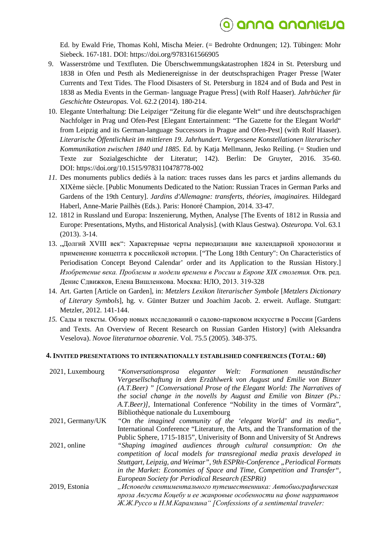## <u>a) anna ananieua</u>

Ed. by Ewald Frie, Thomas Kohl, Mischa Meier. (= Bedrohte Ordnungen; 12). Tübingen: Mohr Siebeck. 167-181. DOI: https://doi.org/9783161566905

- 9. Wasserströme und Textfluten. Die Überschwemmungskatastrophen 1824 in St. Petersburg und 1838 in Ofen und Pesth als Medienereignisse in der deutschsprachigen Prager Presse [Water Currents and Text Tides. The Flood Disasters of St. Petersburg in 1824 and of Buda and Pest in 1838 as Media Events in the German- language Prague Press] (with Rolf Haaser). *Jahrbücher für Geschichte Osteuropas.* Vol. 62.2 (2014). 180-214.
- 10. Elegante Unterhaltung: Die Leipziger "Zeitung für die elegante Welt" und ihre deutschsprachigen Nachfolger in Prag und Ofen-Pest [Elegant Entertainment: "The Gazette for the Elegant World" from Leipzig and its German-language Successors in Prague and Ofen-Pest] (with Rolf Haaser). *Literarische Öffentlichkeit im mittleren 19. Jahrhundert. Vergessene Konstellationen literarischer Kommunikation zwischen 1840 und 1885.* Ed. by Katja Mellmann, Jesko Reiling. (= Studien und Texte zur Sozialgeschichte der Literatur; 142). Berlin: De Gruyter, 2016. 35-60. DOI: https://doi.org/10.1515/9783110478778-002
- *11.* Des monuments publics dediés à la nation: traces russes dans les parcs et jardins allemands du XIXème siècle. [Public Monuments Dedicated to the Nation: Russian Traces in German Parks and Gardens of the 19th Century]. *Jardins d'Allemagne: transferts, théories, imaginaires.* Hildegard Haberl, Anne-Marie Pailhès (Eds.). Paris: Honoré Champion, 2014. 33-47.
- 12. 1812 in Russland und Europa: Inszenierung, Mythen, Analyse [The Events of 1812 in Russia and Europe: Presentations, Myths, and Historical Analysis]. (with Klaus Gestwa). *Osteuropa.* Vol. 63.1 (2013). 3-14.
- 13. "Долгий XVIII век": Характерные черты периодизации вне календарной хронологии и применение концепта к российской истории. ["The Long 18th Century": On Characteristics of Periodisation Concept Beyond Calendar' order and its Application to the Russian History.] *Изобретение века. Проблемы и модели времени в России и Европе XIX столетия.* Отв. ред. Денис Сдвижков, Елена Вишленкова. Москва: НЛО, 2013. 319-328
- 14. Art. Garten [Article on Garden], in: *Metzlers Lexikon literarischer Symbole* [*Metzlers Dictionary of Literary Symbols*], hg. v. Günter Butzer und Joachim Jacob. 2. erweit. Auflage. Stuttgart: Metzler, 2012. 141-144.
- *15.* Сады и тексты. Обзор новых исследований о садово-парковом искусстве в России [Gardens and Texts. An Overview of Recent Research on Russian Garden History] (with Aleksandra Veselova). *Novoe literaturnoe obozrenie*. Vol. 75.5 (2005). 348-375.

#### **4. INVITED PRESENTATIONS TO INTERNATIONALLY ESTABLISHED CONFERENCES (TOTAL: 60)**

| 2021, Luxembourg | "Konversationsprosa eleganter Welt: Formationen neuständischer                |
|------------------|-------------------------------------------------------------------------------|
|                  | Vergesellschaftung in dem Erzählwerk von August und Emilie von Binzer         |
|                  | (A.T.Beer) " [Conversational Prose of the Elegant World: The Narratives of    |
|                  | the social change in the novells by August and Emilie von Binzer $(P_{s})$ .  |
|                  | A.T.Beer), International Conference "Nobility in the times of Vormärz",       |
|                  | Bibliothèque nationale du Luxembourg                                          |
| 2021, Germany/UK | "On the imagined community of the 'elegant World' and its media",             |
|                  | International Conference "Literature, the Arts, and the Transformation of the |
|                  | Public Sphere, 1715-1815", University of Bonn and University of St Andrews    |
| $2021$ , online  | "Shaping imagined audiences through cultural consumption: On the              |
|                  | competition of local models for transregional media praxis developed in       |
|                  | Stuttgart, Leipzig, and Weimar", 9th ESPRit-Conference "Periodical Formats    |
|                  | in the Market: Economies of Space and Time, Competition and Transfer",        |
|                  | European Society for Periodical Research (ESPRit)                             |
| 2019, Estonia    | "Исповеди сентиментального путешественника: Автобиографическая                |
|                  | проза Августа Коцебу и ее жанровые особенности на фоне нарративов             |
|                  | Ж.Ж.Руссо и Н.М.Карамзина" [Confessions of a sentimental traveler:            |